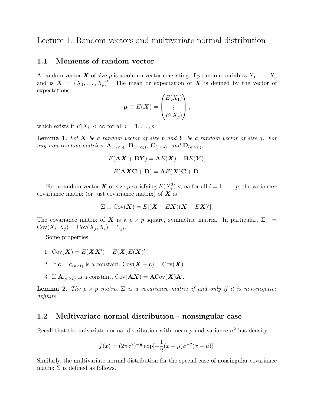Lecture 1. Random vectors and multivariate normal distribution

## 1.1 Moments of random vector

A random vector **X** of size p is a column vector consisting of p random variables  $X_1, \ldots, X_p$ and is  $\mathbf{X} = (X_1, \ldots, X_p)'$ . The mean or expectation of X is defined by the vector of expectations,

$$
\boldsymbol{\mu} \equiv E(\boldsymbol{X}) = \begin{pmatrix} E(X_1) \\ \vdots \\ E(X_p) \end{pmatrix},
$$

which exists if  $E|X_i| < \infty$  for all  $i = 1, \ldots, p$ .

**Lemma 1.** Let  $X$  be a random vector of size p and  $Y$  be a random vector of size q. For any non-random matrices  $\mathbf{A}_{(m \times p)}$ ,  $\mathbf{B}_{(m \times q)}$ ,  $\mathbf{C}_{(1 \times n)}$ , and  $\mathbf{D}_{(m \times n)}$ ,

$$
E(\mathbf{A}\mathbf{X} + \mathbf{B}\mathbf{Y}) = \mathbf{A}E(\mathbf{X}) + \mathbf{B}E(\mathbf{Y}),
$$

$$
E(\mathbf{A}\mathbf{X}\mathbf{C} + \mathbf{D}) = \mathbf{A}E(\mathbf{X})\mathbf{C} + \mathbf{D}.
$$

For a random vector **X** of size p satisfying  $E(X_i^2) < \infty$  for all  $i = 1, \ldots, p$ , the variancecovariance matrix (or just covariance matrix) of  $X$  is

$$
\Sigma \equiv \mathrm{Cov}(\boldsymbol{X}) = E[(\boldsymbol{X} - E\boldsymbol{X})(\boldsymbol{X} - E\boldsymbol{X})'].
$$

The covariance matrix of X is a  $p \times p$  square, symmetric matrix. In particular,  $\Sigma_{ij}$  =  $Cov(X_i, X_j) = Cov(X_j, X_i) = \sum_{ji}.$ 

Some properties:

- 1. Cov $(\mathbf{X}) = E(\mathbf{X}\mathbf{X}') E(\mathbf{X})E(\mathbf{X})'$ .
- 2. If  $\mathbf{c} = \mathbf{c}_{(p \times 1)}$  is a constant,  $Cov(\mathbf{X} + \mathbf{c}) = Cov(\mathbf{X})$ .
- 3. If  $\mathbf{A}_{(m \times p)}$  is a constant,  $Cov(\mathbf{A}\boldsymbol{X}) = \mathbf{A}Cov(\boldsymbol{X})\mathbf{A}'$ .

**Lemma 2.** The  $p \times p$  matrix  $\Sigma$  is a covariance matrix if and only if it is non-negative definite.

# 1.2 Multivariate normal distribution - nonsingular case

Recall that the univariate normal distribution with mean  $\mu$  and variance  $\sigma^2$  has density

$$
f(x) = (2\pi\sigma^2)^{-\frac{1}{2}} \exp[-\frac{1}{2}(x-\mu)\sigma^{-2}(x-\mu)].
$$

Similarly, the multivariate normal distribution for the special case of nonsingular covariance matrix  $\Sigma$  is defined as follows.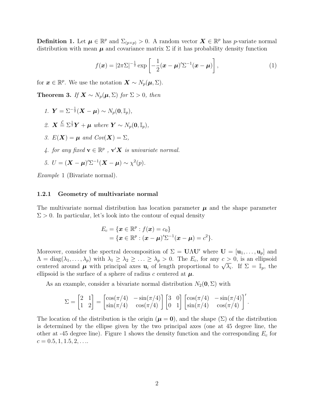**Definition 1.** Let  $\mu \in \mathbb{R}^p$  and  $\Sigma_{(p \times p)} > 0$ . A random vector  $\mathbf{X} \in \mathbb{R}^p$  has p-variate normal distribution with mean  $\mu$  and covariance matrix  $\Sigma$  if it has probability density function

$$
f(\boldsymbol{x}) = |2\pi\Sigma|^{-\frac{1}{2}} \exp\left[-\frac{1}{2}(\boldsymbol{x}-\boldsymbol{\mu})'\Sigma^{-1}(\boldsymbol{x}-\boldsymbol{\mu})\right],\tag{1}
$$

for  $\boldsymbol{x} \in \mathbb{R}^p$ . We use the notation  $\boldsymbol{X} \sim N_p(\boldsymbol{\mu}, \Sigma)$ .

Theorem 3. If  $X \sim N_p(\mu, \Sigma)$  for  $\Sigma > 0$ , then

- 1.  $\bm{Y} = \Sigma^{-\frac{1}{2}}(\bm{X} \bm{\mu}) \sim N_p(\bm{0}, \mathbb{I}_p),$
- 2.  $\mathbf{X} \stackrel{\mathcal{L}}{=} \Sigma^{\frac{1}{2}} \mathbf{Y} + \boldsymbol{\mu}$  where  $\mathbf{Y} \sim N_p(\mathbf{0}, \mathbb{I}_p)$ ,
- 3.  $E(\mathbf{X}) = \boldsymbol{\mu}$  and  $Cov(\mathbf{X}) = \Sigma$ .
- 4. for any fixed  $\mathbf{v} \in \mathbb{R}^p$ ,  $\mathbf{v}'\mathbf{X}$  is univariate normal.

5. 
$$
U = (\mathbf{X} - \boldsymbol{\mu})^{\prime} \Sigma^{-1} (\mathbf{X} - \boldsymbol{\mu}) \sim \chi^2(p).
$$

Example 1 (Bivariate normal).

#### 1.2.1 Geometry of multivariate normal

The multivariate normal distribution has location parameter  $\mu$  and the shape parameter  $\Sigma > 0$ . In particular, let's look into the contour of equal density

$$
E_c = \{ \boldsymbol{x} \in \mathbb{R}^p : f(\boldsymbol{x}) = c_0 \}
$$
  
=  $\{ \boldsymbol{x} \in \mathbb{R}^p : (\boldsymbol{x} - \boldsymbol{\mu})' \Sigma^{-1} (\boldsymbol{x} - \boldsymbol{\mu}) = c^2 \}.$ 

Moreover, consider the spectral decomposition of  $\Sigma = \mathbf{U}\Lambda\mathbf{U}'$  where  $\mathbf{U} = [\mathbf{u}_1, \dots, \mathbf{u}_p]$  and  $\Lambda = \text{diag}(\lambda_1, \ldots, \lambda_p)$  with  $\lambda_1 \geq \lambda_2 \geq \ldots \geq \lambda_p > 0$ . The  $E_c$ , for any  $c \geq 0$ , is an ellipsoid  $\Lambda = \text{diag}(\lambda_1, \ldots, \lambda_p)$  with  $\lambda_1 \geq \lambda_2 \geq \ldots \geq \lambda_p > 0$ . The  $E_c$ , for any  $c > 0$ , is an empsoid centered around  $\mu$  with principal axes  $\mathbf{u}_i$  of length proportional to  $\sqrt{\lambda_i}$ . If  $\Sigma = \mathbb{I}_p$ , the ellipsoid is the surface of a sphere of radius c centered at  $\mu$ .

As an example, consider a bivariate normal distribution  $N_2(\mathbf{0}, \Sigma)$  with

$$
\Sigma = \begin{bmatrix} 2 & 1 \\ 1 & 2 \end{bmatrix} = \begin{bmatrix} \cos(\pi/4) & -\sin(\pi/4) \\ \sin(\pi/4) & \cos(\pi/4) \end{bmatrix} \begin{bmatrix} 3 & 0 \\ 0 & 1 \end{bmatrix} \begin{bmatrix} \cos(\pi/4) & -\sin(\pi/4) \\ \sin(\pi/4) & \cos(\pi/4) \end{bmatrix}'.
$$

The location of the distribution is the origin ( $\mu = 0$ ), and the shape (Σ) of the distribution is determined by the ellipse given by the two principal axes (one at 45 degree line, the other at -45 degree line). Figure 1 shows the density function and the corresponding  $E_c$  for  $c = 0.5, 1, 1.5, 2, \ldots$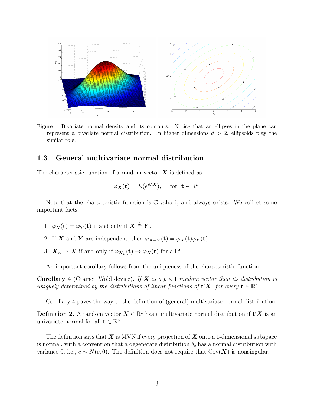

Figure 1: Bivariate normal density and its contours. Notice that an ellipses in the plane can represent a bivariate normal distribution. In higher dimensions  $d > 2$ , ellipsoids play the similar role.

# 1.3 General multivariate normal distribution

The characteristic function of a random vector  $\boldsymbol{X}$  is defined as

$$
\varphi_{\mathbf{X}}(\mathbf{t}) = E(e^{i\mathbf{t}'\mathbf{X}}), \quad \text{ for } \mathbf{t} \in \mathbb{R}^p.
$$

Note that the characteristic function is C-valued, and always exists. We collect some important facts.

- 1.  $\varphi_{\boldsymbol{X}}(\mathbf{t}) = \varphi_{\boldsymbol{Y}}(\mathbf{t})$  if and only if  $\boldsymbol{X} \stackrel{\mathcal{L}}{=} \boldsymbol{Y}$ .
- 2. If **X** and **Y** are independent, then  $\varphi_{\mathbf{X}+\mathbf{Y}}(\mathbf{t}) = \varphi_{\mathbf{X}}(\mathbf{t})\varphi_{\mathbf{Y}}(\mathbf{t}).$
- 3.  $\mathbf{X}_n \Rightarrow \mathbf{X}$  if and only if  $\varphi_{\mathbf{X}_n}(\mathbf{t}) \to \varphi_{\mathbf{X}}(\mathbf{t})$  for all t.

An important corollary follows from the uniqueness of the characteristic function.

**Corollary** 4 (Cramer–Wold device). If **X** is a  $p \times 1$  random vector then its distribution is uniquely determined by the distributions of linear functions of  $\mathbf{t}'\mathbf{X}$ , for every  $\mathbf{t} \in \mathbb{R}^p$ .

Corollary 4 paves the way to the definition of (general) multivariate normal distribution.

**Definition 2.** A random vector  $X \in \mathbb{R}^p$  has a multivariate normal distribution if  $\mathbf{t}'X$  is an univariate normal for all  $\mathbf{t} \in \mathbb{R}^p$ .

The definition says that  $X$  is MVN if every projection of  $X$  onto a 1-dimensional subspace is normal, with a convention that a degenerate distribution  $\delta_c$  has a normal distribution with variance 0, i.e.,  $c \sim N(c, 0)$ . The definition does not require that Cov(X) is nonsingular.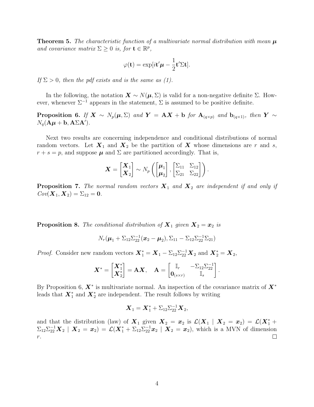**Theorem 5.** The characteristic function of a multivariate normal distribution with mean  $\mu$ and covariance matrix  $\Sigma \geq 0$  is, for  $\mathbf{t} \in \mathbb{R}^p$ ,

$$
\varphi(\mathbf{t}) = \exp[i\mathbf{t}'\boldsymbol{\mu} - \frac{1}{2}\mathbf{t}'\boldsymbol{\Sigma}\mathbf{t}].
$$

If  $\Sigma > 0$ , then the pdf exists and is the same as (1).

In the following, the notation  $\mathbf{X} \sim N(\boldsymbol{\mu}, \Sigma)$  is valid for a non-negative definite  $\Sigma$ . However, whenever  $\Sigma^{-1}$  appears in the statement,  $\Sigma$  is assumed to be positive definite.

**Proposition 6.** If  $X \sim N_p(\mu, \Sigma)$  and  $Y = AX + b$  for  $A_{(q \times p)}$  and  $b_{(q \times 1)}$ , then  $Y \sim$  $N_q(\mathbf{A}\boldsymbol{\mu} + \mathbf{b}, \mathbf{A} \Sigma \mathbf{A}^{\prime}).$ 

Next two results are concerning independence and conditional distributions of normal random vectors. Let  $X_1$  and  $X_2$  be the partition of X whose dimensions are r and s,  $r + s = p$ , and suppose  $\mu$  and  $\Sigma$  are partitioned accordingly. That is,

$$
\boldsymbol{X} = \begin{bmatrix} \boldsymbol{X}_1 \\ \boldsymbol{X}_2 \end{bmatrix} \sim N_p \left( \begin{bmatrix} \boldsymbol{\mu}_1 \\ \boldsymbol{\mu}_2 \end{bmatrix}, \begin{bmatrix} \Sigma_{11} & \Sigma_{12} \\ \Sigma_{21} & \Sigma_{22} \end{bmatrix} \right).
$$

**Proposition 7.** The normal random vectors  $X_1$  and  $X_2$  are independent if and only if  $Cov(\boldsymbol{X}_1, \boldsymbol{X}_2) = \Sigma_{12} = 0.$ 

**Proposition 8.** The conditional distribution of  $X_1$  given  $X_2 = x_2$  is

$$
N_r(\boldsymbol{\mu}_1 + \Sigma_{12}\Sigma_{22}^{-1}(\boldsymbol{x}_2 - \boldsymbol{\mu}_2), \Sigma_{11} - \Sigma_{12}\Sigma_{22}^{-1}\Sigma_{21})
$$

*Proof.* Consider new random vectors  $X_1^* = X_1 - \Sigma_{12} \Sigma_{22}^{-1} X_2$  and  $X_2^* = X_2$ ,

$$
\boldsymbol{X}^* = \begin{bmatrix} \boldsymbol{X}_1^* \\ \boldsymbol{X}_2^* \end{bmatrix} = \mathbf{A}\boldsymbol{X}, \quad \mathbf{A} = \begin{bmatrix} \mathbb{I}_r & -\Sigma_{12}\Sigma_{22}^{-1} \\ \mathbf{0}_{(s \times r)} & \mathbb{I}_s \end{bmatrix}.
$$

By Proposition 6,  $X^*$  is multivariate normal. An inspection of the covariance matrix of  $X^*$ leads that  $X_1^*$  and  $X_2^*$  are independent. The result follows by writing

$$
\boldsymbol{X}_1 = \boldsymbol{X}_1^* + \Sigma_{12} \Sigma_{22}^{-1} \boldsymbol{X}_2,
$$

and that the distribution (law) of  $\mathbf{X}_1$  given  $\mathbf{X}_2 = \mathbf{x}_2$  is  $\mathcal{L}(\mathbf{X}_1 | \mathbf{X}_2 = \mathbf{x}_2) = \mathcal{L}(\mathbf{X}_1^* + \mathbf{X}_2)$  $\Sigma_{12}\Sigma_{22}^{-1}\boldsymbol{X}_2\mid \boldsymbol{X}_2=\boldsymbol{x}_2)=\mathcal{L}(\boldsymbol{X}_1^*+\Sigma_{12}\Sigma_{22}^{-1}\boldsymbol{x}_2\mid \boldsymbol{X}_2=\boldsymbol{x}_2),$  which is a MVN of dimension  $\Box$  $r.$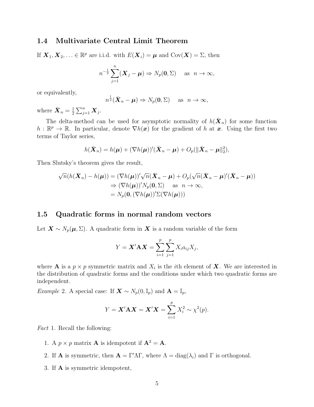# 1.4 Multivariate Central Limit Theorem

If  $\mathbf{X}_1, \mathbf{X}_2, \ldots \in \mathbb{R}^p$  are i.i.d. with  $E(\mathbf{X}_i) = \boldsymbol{\mu}$  and  $Cov(\mathbf{X}) = \Sigma$ , then

$$
n^{-\frac{1}{2}}\sum_{j=1}^n (\boldsymbol{X}_j - \boldsymbol{\mu}) \Rightarrow N_p(\mathbf{0}, \Sigma) \quad \text{as} \ \ n \to \infty,
$$

or equivalently,

$$
n^{\frac{1}{2}}(\bar{\boldsymbol{X}}_n - \boldsymbol{\mu}) \Rightarrow N_p(\mathbf{0}, \boldsymbol{\Sigma}) \quad \text{as } n \to \infty,
$$

where  $\bar{\boldsymbol{X}}_n = \frac{1}{2}$  $\frac{1}{2}\sum_{j=1}^n \boldsymbol{X}_j$ .

The delta-method can be used for asymptotic normality of  $h(\bar{\boldsymbol{X}}_n)$  for some function  $h: \mathbb{R}^p \to \mathbb{R}$ . In particular, denote  $\nabla h(x)$  for the gradient of h at x. Using the first two terms of Taylor series,

$$
h(\bar{\boldsymbol{X}}_n)=h(\boldsymbol{\mu})+(\nabla h(\boldsymbol{\mu}))'(\bar{\boldsymbol{X}}_n-\boldsymbol{\mu})+O_p(\|\bar{\boldsymbol{X}}_n-\boldsymbol{\mu}\|_2^2),
$$

Then Slutsky's theorem gives the result,

$$
\sqrt{n}(h(\bar{\mathbf{X}}_n) - h(\boldsymbol{\mu})) = (\nabla h(\boldsymbol{\mu}))'\sqrt{n}(\bar{\mathbf{X}}_n - \boldsymbol{\mu}) + O_p(\sqrt{n}(\bar{\mathbf{X}}_n - \boldsymbol{\mu})'(\bar{\mathbf{X}}_n - \boldsymbol{\mu}))
$$
  
\n
$$
\Rightarrow (\nabla h(\boldsymbol{\mu}))'N_p(\mathbf{0}, \Sigma) \text{ as } n \to \infty,
$$
  
\n
$$
= N_p(\mathbf{0}, (\nabla h(\boldsymbol{\mu}))' \Sigma(\nabla h(\boldsymbol{\mu})))
$$

### 1.5 Quadratic forms in normal random vectors

Let  $\mathbf{X} \sim N_p(\boldsymbol{\mu}, \Sigma)$ . A quadratic form in  $\boldsymbol{X}$  is a random variable of the form

$$
Y = \mathbf{X}' \mathbf{A} \mathbf{X} = \sum_{i=1}^{p} \sum_{j=1}^{p} X_i a_{ij} X_j,
$$

where **A** is a  $p \times p$  symmetric matrix and  $X_i$  is the *i*th element of **X**. We are interested in the distribution of quadratic forms and the conditions under which two quadratic forms are independent.

*Example 2.* A special case: If  $\mathbf{X} \sim N_p(0, \mathbb{I}_p)$  and  $\mathbf{A} = \mathbb{I}_p$ ,

$$
Y = \mathbf{X}'\mathbf{A}\mathbf{X} = \mathbf{X}'\mathbf{X} = \sum_{i=1}^{p} X_i^2 \sim \chi^2(p).
$$

Fact 1. Recall the following:

- 1. A  $p \times p$  matrix **A** is idempotent if  $\mathbf{A}^2 = \mathbf{A}$ .
- 2. If **A** is symmetric, then  $\mathbf{A} = \Gamma' \Lambda \Gamma$ , where  $\Lambda = \text{diag}(\lambda_i)$  and  $\Gamma$  is orthogonal.
- 3. If A is symmetric idempotent,